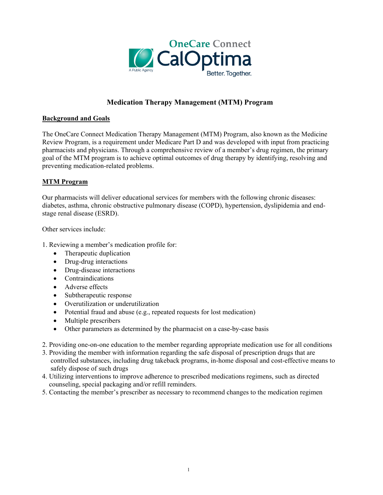

# **Medication Therapy Management (MTM) Program**

# **Background and Goals**

The OneCare Connect Medication Therapy Management (MTM) Program, also known as the Medicine Review Program, is a requirement under Medicare Part D and was developed with input from practicing pharmacists and physicians. Through a comprehensive review of a member's drug regimen, the primary goal of the MTM program is to achieve optimal outcomes of drug therapy by identifying, resolving and preventing medication-related problems.

## **MTM Program**

Our pharmacists will deliver educational services for members with the following chronic diseases: diabetes, asthma, chronic obstructive pulmonary disease (COPD), hypertension, dyslipidemia and endstage renal disease (ESRD).

Other services include:

- 1. Reviewing a member's medication profile for:
	- Therapeutic duplication
	- Drug-drug interactions
	- Drug-disease interactions
	- Contraindications
	- Adverse effects
	- Subtherapeutic response
	- Overutilization or underutilization
	- Potential fraud and abuse (e.g., repeated requests for lost medication)
	- Multiple prescribers
	- Other parameters as determined by the pharmacist on a case-by-case basis
- 2. Providing one-on-one education to the member regarding appropriate medication use for all conditions
- 3. Providing the member with information regarding the safe disposal of prescription drugs that are controlled substances, including drug takeback programs, in-home disposal and cost-effective means to safely dispose of such drugs
- 4. Utilizing interventions to improve adherence to prescribed medications regimens, such as directed counseling, special packaging and/or refill reminders.
- 5. Contacting the member's prescriber as necessary to recommend changes to the medication regimen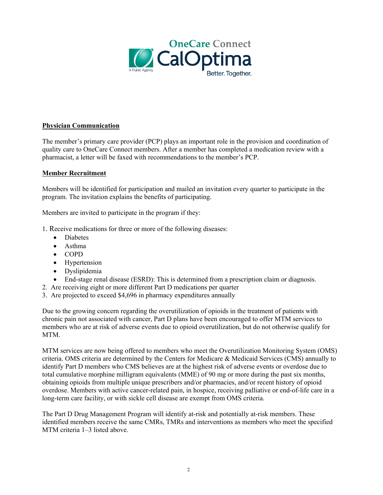

## **Physician Communication**

The member's primary care provider (PCP) plays an important role in the provision and coordination of quality care to OneCare Connect members. After a member has completed a medication review with a pharmacist, a letter will be faxed with recommendations to the member's PCP.

#### **Member Recruitment**

Members will be identified for participation and mailed an invitation every quarter to participate in the program. The invitation explains the benefits of participating.

Members are invited to participate in the program if they:

- 1. Receive medications for three or more of the following diseases:
	- Diabetes
	- Asthma
	- COPD
	- Hypertension
	- Dyslipidemia
	- End-stage renal disease (ESRD): This is determined from a prescription claim or diagnosis.
- 2. Are receiving eight or more different Part D medications per quarter
- 3. Are projected to exceed \$4,696 in pharmacy expenditures annually

Due to the growing concern regarding the overutilization of opioids in the treatment of patients with chronic pain not associated with cancer, Part D plans have been encouraged to offer MTM services to members who are at risk of adverse events due to opioid overutilization, but do not otherwise qualify for MTM.

MTM services are now being offered to members who meet the Overutilization Monitoring System (OMS) criteria. OMS criteria are determined by the Centers for Medicare & Medicaid Services (CMS) annually to identify Part D members who CMS believes are at the highest risk of adverse events or overdose due to total cumulative morphine milligram equivalents (MME) of 90 mg or more during the past six months, obtaining opioids from multiple unique prescribers and/or pharmacies, and/or recent history of opioid overdose. Members with active cancer-related pain, in hospice, receiving palliative or end-of-life care in a long-term care facility, or with sickle cell disease are exempt from OMS criteria.

The Part D Drug Management Program will identify at-risk and potentially at-risk members. These identified members receive the same CMRs, TMRs and interventions as members who meet the specified MTM criteria 1–3 listed above.